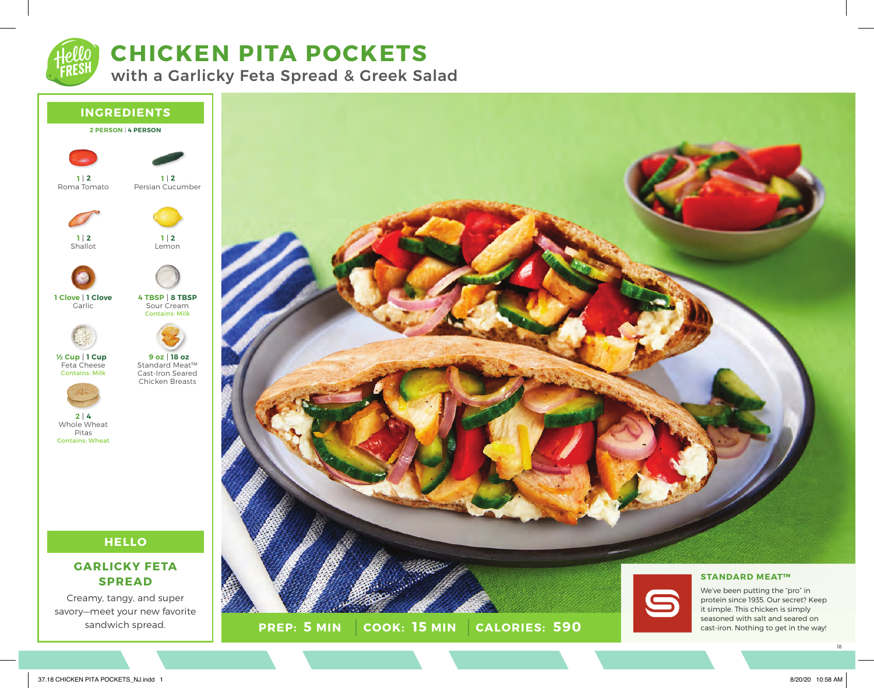

# **CHICKEN PITA POCKETS**

with a Garlicky Feta Spread & Greek Salad



**PREP:** 5 MIN COOK: 15 MIN **5 MIN 15 MIN 590** seasoned with salt and seared on cast-iron. Nothing to get in the way!

sandwich spread.

18